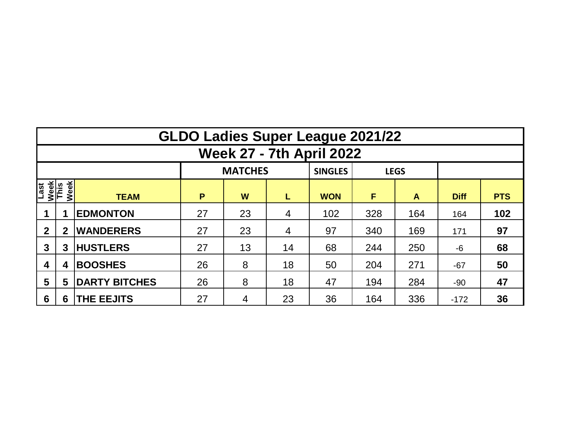|                                 | <b>GLDO Ladies Super League 2021/22</b> |                                                           |    |    |    |            |     |                  |             |            |  |  |  |  |  |
|---------------------------------|-----------------------------------------|-----------------------------------------------------------|----|----|----|------------|-----|------------------|-------------|------------|--|--|--|--|--|
| <b>Week 27 - 7th April 2022</b> |                                         |                                                           |    |    |    |            |     |                  |             |            |  |  |  |  |  |
|                                 |                                         |                                                           |    |    |    |            |     |                  |             |            |  |  |  |  |  |
| Last<br>Week<br>This            | Week                                    | <b>TEAM</b>                                               | P  | W  | L  | <b>WON</b> | F   | $\blacktriangle$ | <b>Diff</b> | <b>PTS</b> |  |  |  |  |  |
|                                 |                                         | <b>EDMONTON</b>                                           | 27 | 23 | 4  | 102        | 328 | 164              | 164         | 102        |  |  |  |  |  |
| $\mathbf{2}$                    | $\mathbf 2$                             | <b>WANDERERS</b>                                          | 27 | 23 |    | 97         | 340 | 169              | 171         | 97         |  |  |  |  |  |
| $\mathbf{3}$                    | 3                                       | <b>HUSTLERS</b>                                           | 27 | 13 | 14 | 68         | 244 | 250              | $-6$        | 68         |  |  |  |  |  |
| $\boldsymbol{4}$                | 4                                       | <b>BOOSHES</b>                                            | 26 | 8  | 18 | 50         | 204 | 271              | $-67$       | 50         |  |  |  |  |  |
| $\overline{\mathbf{5}}$         | 5                                       | <b>DARTY BITCHES</b><br>26<br>8<br>18<br>47<br>284<br>194 |    |    |    |            |     |                  | $-90$       | 47         |  |  |  |  |  |
| 6                               | 6                                       | <b>THE EEJITS</b>                                         | 27 | 4  | 23 | 36         | 164 | 336              | $-172$      | 36         |  |  |  |  |  |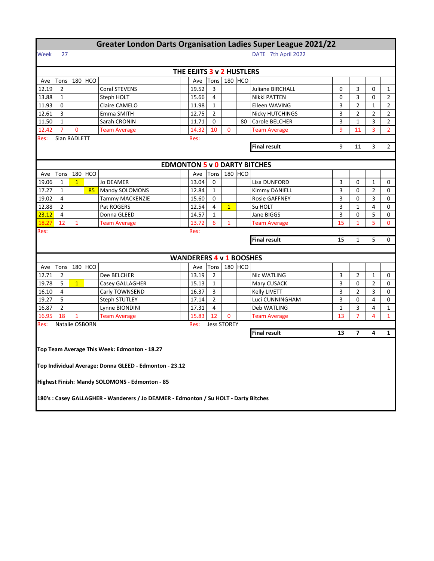|                              |                                                              |                |            | <b>Greater London Darts Organisation Ladies Super League 2021/22</b>                 |  |                                                       |                    |                |                |                                     |                |                |                |                |
|------------------------------|--------------------------------------------------------------|----------------|------------|--------------------------------------------------------------------------------------|--|-------------------------------------------------------|--------------------|----------------|----------------|-------------------------------------|----------------|----------------|----------------|----------------|
| Week                         | 27                                                           |                |            |                                                                                      |  |                                                       |                    |                |                | DATE 7th April 2022                 |                |                |                |                |
|                              |                                                              |                |            |                                                                                      |  | THE EEJITS 3 v 2 HUSTLERS                             |                    |                |                |                                     |                |                |                |                |
| Ave                          | Tons                                                         |                | 180 HCO    |                                                                                      |  | Ave                                                   | Tons               |                | 180 HCO        |                                     |                |                |                |                |
| 12.19                        | $\overline{2}$                                               |                |            | <b>Coral STEVENS</b>                                                                 |  | 19.52                                                 | 3                  |                |                | <b>Juliane BIRCHALL</b>             | 0              | 3              | 0              | $\mathbf{1}$   |
| 13.88                        | $\mathbf{1}$                                                 |                |            | Steph HOLT                                                                           |  | 15.66                                                 | 4                  |                |                | Nikki PATTEN                        | 0              | 3              | 0              | 2              |
| 11.93                        | Claire CAMELO<br>11.98<br>$\mathbf{1}$<br>Eileen WAVING<br>0 |                |            |                                                                                      |  |                                                       |                    | 3              | $\overline{2}$ | $\mathbf{1}$                        | $\overline{2}$ |                |                |                |
| 12.61                        | 3                                                            |                |            | Emma SMITH                                                                           |  | 12.75                                                 | $\overline{2}$     |                |                | Nicky HUTCHINGS                     | 3              | $\overline{2}$ | $\overline{2}$ | $\overline{2}$ |
| 11.50                        | $\mathbf{1}$                                                 |                |            | Sarah CRONIN                                                                         |  | 11.71                                                 | $\mathbf 0$        |                | 80             | Carole BELCHER                      | 3              | $\mathbf{1}$   | 3              | $\overline{2}$ |
| 12.42                        | $\overline{7}$                                               | 0              |            | <b>Team Average</b>                                                                  |  | 14.32                                                 | 10                 | 0              |                | <b>Team Average</b>                 | 9              | 11             | 3              | $\overline{2}$ |
| Sian RADLETT<br>Res:<br>Res: |                                                              |                |            |                                                                                      |  |                                                       |                    |                |                |                                     |                |                |                |                |
|                              |                                                              |                |            |                                                                                      |  | <b>Final result</b><br>$\overline{2}$<br>9<br>11<br>3 |                    |                |                |                                     |                |                |                |                |
|                              |                                                              |                |            |                                                                                      |  |                                                       |                    |                |                |                                     |                |                |                |                |
|                              |                                                              |                |            |                                                                                      |  |                                                       |                    |                |                | <b>EDMONTON 5 v 0 DARTY BITCHES</b> |                |                |                |                |
| Ave                          | Tons                                                         |                | 180 HCO    |                                                                                      |  | Ave                                                   | Tons               |                | 180 HCO        |                                     |                |                |                |                |
| 19.06                        | $\mathbf{1}$                                                 | $\mathbf{1}$   |            | <b>Jo DEAMER</b>                                                                     |  | 13.04                                                 | 0                  |                |                | Lisa DUNFORD                        | 3              | 0              | $\mathbf{1}$   | 0              |
| 17.27                        | $\mathbf{1}$                                                 |                | 85         | Mandy SOLOMONS                                                                       |  | 12.84                                                 | $\mathbf{1}$       |                |                | Kimmy DANIELL                       | 3              | 0              | $\overline{2}$ | 0              |
| 19.02                        | 4                                                            |                |            | Tammy MACKENZIE                                                                      |  | 15.60                                                 | 0                  |                |                | Rosie GAFFNEY                       | 3              | 0              | 3              | 0              |
| 12.88                        | $\overline{2}$                                               |                |            | Pat ROGERS                                                                           |  | 12.54                                                 | $\overline{4}$     | $\overline{1}$ |                | Su HOLT                             | 3              | $\mathbf{1}$   | 4              | 0              |
| 23.12                        | 4                                                            |                |            | Donna GLEED                                                                          |  | 14.57                                                 | $\mathbf{1}$       |                |                | Jane BIGGS                          | 3              | 0              | 5              | 0              |
| 18.27                        | 12                                                           | $\mathbf{1}$   |            | <b>Team Average</b>                                                                  |  | 13.72                                                 | 6                  | $\mathbf{1}$   |                | <b>Team Average</b>                 | 15             | $\mathbf{1}$   | 5              | $\mathbf{0}$   |
| Res:                         |                                                              |                |            |                                                                                      |  | Res:                                                  |                    |                |                |                                     |                |                |                |                |
|                              | <b>Final result</b><br>5<br>15<br>1                          |                |            |                                                                                      |  |                                                       |                    |                |                |                                     |                |                |                | 0              |
|                              |                                                              |                |            |                                                                                      |  |                                                       |                    |                |                |                                     |                |                |                |                |
|                              |                                                              |                |            |                                                                                      |  | <b>WANDERERS 4 v 1 BOOSHES</b>                        |                    |                |                |                                     |                |                |                |                |
| Ave                          | Tons                                                         | 180            | <b>HCO</b> |                                                                                      |  | Ave                                                   | Tons               |                | 180 HCO        |                                     |                |                |                |                |
| 12.71                        | $\overline{2}$                                               |                |            | Dee BELCHER                                                                          |  | 13.19                                                 | $\overline{2}$     |                |                | <b>Nic WATLING</b>                  | 3              | $\overline{2}$ | $\mathbf{1}$   | 0              |
| 19.78                        | 5                                                            | $\mathbf{1}$   |            | Casey GALLAGHER                                                                      |  | 15.13                                                 | $\mathbf{1}$       |                |                | Mary CUSACK                         | 3              | 0              | $\overline{2}$ | 0              |
| 16.10                        | 4                                                            |                |            | Carly TOWNSEND                                                                       |  | 16.37                                                 | 3                  |                |                | Kelly LIVETT                        | 3              | 2              | 3              | 0              |
| 19.27                        | 5                                                            |                |            | <b>Steph STUTLEY</b>                                                                 |  | 17.14                                                 | $\overline{2}$     |                |                | Luci CUNNINGHAM                     | 3              | 0              | 4              | 0              |
| 16.87                        | $\overline{2}$                                               |                |            | Lynne BIONDINI                                                                       |  | 17.31                                                 | 4                  |                |                | Deb WATLING                         | $\mathbf{1}$   | 3              | 4              | $\mathbf{1}$   |
| 16.95                        | 18                                                           | $\mathbf{1}$   |            | <b>Team Average</b>                                                                  |  | 15.83                                                 | 12                 | 0              |                | <b>Team Average</b>                 | 13             | $\overline{7}$ | $\overline{4}$ | $\mathbf{1}$   |
| Res:                         |                                                              | Natalie OSBORN |            |                                                                                      |  | Res:                                                  | <b>Jess STOREY</b> |                |                |                                     |                |                |                |                |
|                              |                                                              |                |            |                                                                                      |  |                                                       |                    |                |                | <b>Final result</b>                 | 13             | 7              | 4              | 1              |
|                              |                                                              |                |            |                                                                                      |  |                                                       |                    |                |                |                                     |                |                |                |                |
|                              |                                                              |                |            | Top Team Average This Week: Edmonton - 18.27                                         |  |                                                       |                    |                |                |                                     |                |                |                |                |
|                              |                                                              |                |            |                                                                                      |  |                                                       |                    |                |                |                                     |                |                |                |                |
|                              |                                                              |                |            | Top Individual Average: Donna GLEED - Edmonton - 23.12                               |  |                                                       |                    |                |                |                                     |                |                |                |                |
|                              |                                                              |                |            |                                                                                      |  |                                                       |                    |                |                |                                     |                |                |                |                |
|                              |                                                              |                |            | Highest Finish: Mandy SOLOMONS - Edmonton - 85                                       |  |                                                       |                    |                |                |                                     |                |                |                |                |
|                              |                                                              |                |            |                                                                                      |  |                                                       |                    |                |                |                                     |                |                |                |                |
|                              |                                                              |                |            | 180's : Casey GALLAGHER - Wanderers / Jo DEAMER - Edmonton / Su HOLT - Darty Bitches |  |                                                       |                    |                |                |                                     |                |                |                |                |